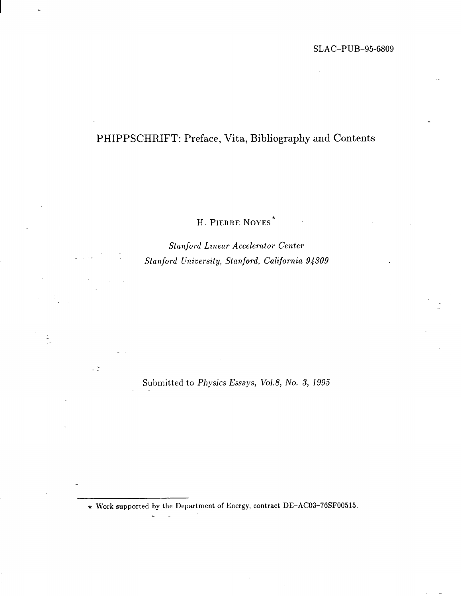# PHIPPSCHRIFT: Preface, Vita, Bibliography and Contents

H. PIERRE NOYES\*

..

 $\frac{1}{2}$ 

. ... . ..

12

*Stalljord Linear Accelerator Center Stalljord Universityj Stanjord, California 94309*

Submitted to *Physics Essays, Vol.8, No.* 3, 1995

 $\star$  Work supported by the Department of Energy, contract DE–AC03–76SF00515.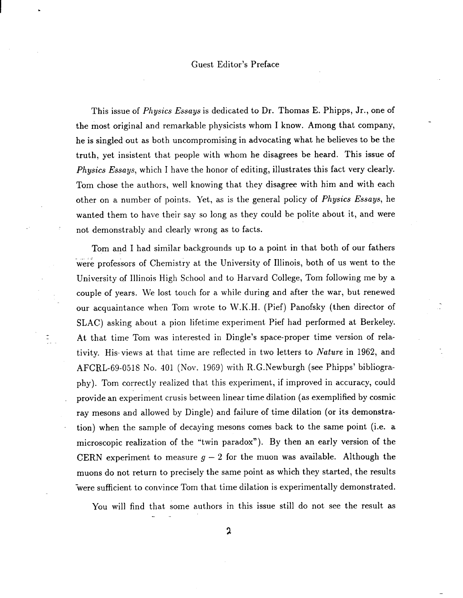#### Guest Editor's Preface

**I \***

..

..

This issue of *Physics Essays* is dedicated to Dr. Thomas E. Phipps, Jr., one of the most original and remarkable physicists whom I know. Among that company, he is singled out as both uncompromising in advocating what he believes to be the truth, yet insistent that people with whom he disagrees be heard. This issue of Physics Essays, which I have the honor of editing, illustrates this fact very clearly. Tom chose the authors, well knowing that they disagree with him and with each other on a number of points. Yet, as is the general policy of Physics *Essays,* he wanted them to have their say so long as they could be polite about it, and were not demonstrably and clearly wrong as to facts.

Tom and I had similar backgrounds up to a point in that both of our fathers were professors of Chemistry at the University of Illinois, both of us went to the University of Illinois High School and to Harvard College, Tom following me by a couple of years. We lost touch for a while during and after the war, but renewed our acquaintance when Tom wrote to W.K.H. (Pief) Panofsky (then director of SLAC) asking about a pion lifetime experiment Pief had performed at Berkeley. **At** that time Tom was interested in Dingle's space-proper time version of rela tivity. His- views at that time are reflected in two letters to Nature in 1962, and AFCRL-69-0518 No. 401 (Nov. 1969) with R. G. Newburgh (see Phipps' bibliography). Tom correctly realized that this experiment, if improved in accuracy, could provide an experiment crusis between linear time dilation (as exemplified by cosmic ray mesons and allowed by Dingle) and failure of time dilation (or its demonstration) when the sample of decaying mesons comes back to the same point (i.e. a microscopic realization of the "twin paradox"). By then an early version of the CERN experiment to measure  $g - 2$  for the muon was available. Although the muons do not return to precisely the same point as which they started, the results 'were sufficient to convince Tom that time dilation is experimentally demonstrated.

You will find that some authors in this issue still do not see the result as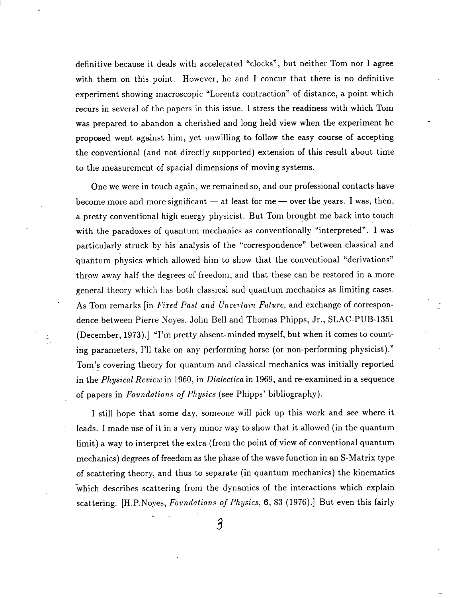definitive because it deals with accelerated "clocks", but neither Tom nor I agree with them on this point. However, he and I concur that there is no definitive experiment showing macroscopic "Lorentz contraction" of distance, a point which recurs in several of the papers in this issue. I stress the readiness with which Tom was prepared to abandon a cherished and long held view when the experiment he proposed went against him, yet unwilling to follow the easy course of accepting the conventional (and not directly supported) extension of this result about time to the measurement of spatial dimensions of moving systems.

 $\frac{1}{2}$   $\frac{1}{2}$   $\frac{1}{2}$ 

.-

One we were in touch again, we remained so, and our professional contacts have become more and more significant — at least for me — over the years. I was, then, a pretty conventional high energy physicist. But Tom brought me back into touch with the paradoxes of quantum mechanics as conventionally "interpreted". I was particularly struck by his analysis of the "correspondence" between classical and qtiafitum physics which allowed him to show that the conventional "derivations" throw away half the clegrees of freedom, and that these can be restored in a more general theory which has both classical and quantum mechanics as limiting cases. As Tom remarks [in *Fixed Past and Uncertain Future*, and exchange of correspondence between Pierre Noyes, John Bell and Thomas Phipps, Jr., SLAC-PUB-1351 (December, 1973).] "I'm pretty absent-minded myself, but when it comes to count ing parameters, I'll take on any performing horse (or non-performing physicist) ." Tom's covering theory for quantum and classical mechanics was initially reported in the *Physical Review* in 1960, in *Dialeciica* in 1969, and re-examined in a sequence of papers in *Foundations of Pltysics (see* Phipps' bibliography).

I still hope that some day, someone will pick up this work and see where it leads. I made use of it in a very minor way to show that it allowed (in the quantum limit) a way to interpret the extra (from the point of view of conventional quantum mechanics) degrees of freedom as the phase of the wave function in an S-Matrix type of scattering theory, and thus to separate (in quantum mechanics) the kinematics 'which describes scattering from the dynamics of the interactions which explain scattering. [H.P.Noyes, *Foundations of Physics*, 6, 83 (1976).] But even this fairly

3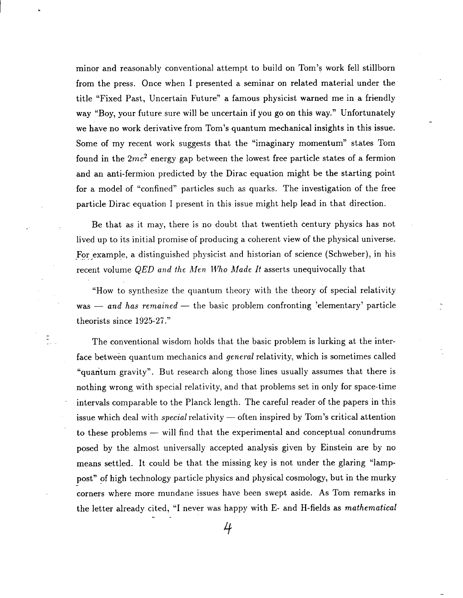minor and reasonably conventional attempt to build on Tom's work fell stillborn from the press. Once when I presented a seminar on related material under the title "Fixed Past, Uncertain Future" a famous physicist warned me in a friendly way "Boy, your future sure will be uncertain if you go on this way." Unfortunately we have no work derivative from Tom's quantum mechanical insights in this issue. Some of my recent work suggests that the "imaginary momentum" states Tom found in the  $2mc^2$  energy gap between the lowest free particle states of a fermion and an anti-fermion predicted by the Dirac equation might be the starting point for a model of "confined" particles such as quarks. The investigation of the free particle Dirac equation I present in this issue might help lead in that direction.

 $\frac{1}{2}$  . The set of  $\frac{1}{2}$ 

Be that as it may, there is no doubt that twentieth century physics has not lived up to its initial promise of producing a coherent view of the physical universe. For example, a distinguished physicist and historian of science (Schweber), in his recent volume *QED* and the *Men Who Made It* asserts unequivocally that

"How to synthesize the quantum theory with the theory of special relativity  $was - and has remained - the basic problem confirming 'elementary' particle.$ theorists since 1925-27."

The conventional wisdom holds that the basic problem is lurking at the interface between quantum mechanics and *generai* relativity, which is sometimes called "quantum gravity". But research along those lines usually assumes that there is nothing wrong. with special relativity, and that problems set in only for space-time intervals comparable to the Planck length. The careful reader of the papers in this issue which deal with *special* relativity — often inspired by Tom's critical attention to these problems — will find that the experimental and conceptual conundrums posed by the almost universally accepted analysis given by Einstein are by no means settled. It could be that the missing key is not under the glaring "lamppost" of high technology particle physics and physical cosmology, but in the murky corners where more mundane issues have been swept aside. As Tom remarks in the letter already cited, "I never was happy with E- and H-fields as *mathematical --*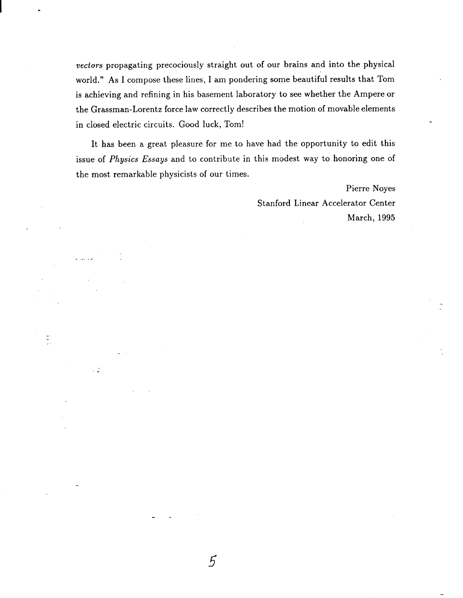vectors propagating precociously straight out of our brains and into the physical world." As I compose these lines, I am pondering some beautiful results that Tom is achieving and refining in his basement laboratory to see whether the Ampere or the Grassman-Lorentz force law correctly describes the motion of movable elements in closed electric circuits. Good luck, Tom!

It has been a great pleasure for me to have had the opportunity to edit this issue of Physics Essays and to contribute in this modest way to honoring one of the most remarkable physicists of our times.

> Pierre Noyes Stanford Linear Accelerator Center March, 1995

--

 $\frac{1}{2}$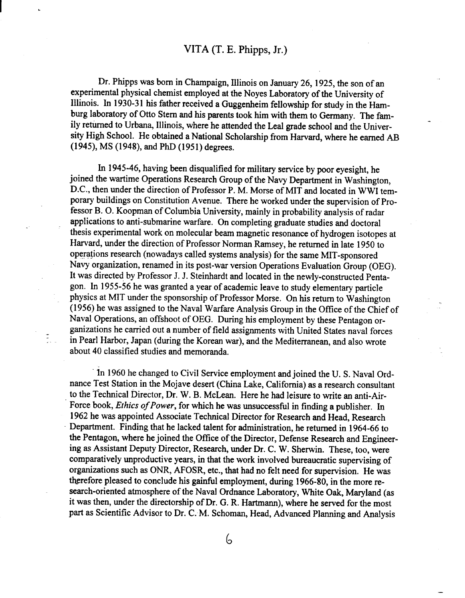Dr. Phipps was born in Champaign, Illinois on January 26, 1925, the son of an experimental physical chemist employed at the Noyes Laboratory of the University of Illinois. In 1930-31 his father received a Guggenheim fellowship for study in the Hamburg laboratory of Otto Stern and his parents took him with them to Germany. The family returned to Urbana, Illinois, where he attended the Leal grade school and the University High School. He obtained a National Scholarship from Harvard, where he earned AB (1945), MS(1948), and PhD (1951) degrees.

In 1945-46, having been disqualified for military service by poor eyesight, he joined the wartime Operations Research Group of the Navy Department in Washington, D.C., then under the direction of Professor P.M. Morse of MIT and located in WWI temporary buildings on Constitution Avenue. There he worked under the supervision of Professor B. O. Koopman of Columbia University, mainly in probability analysis of radar applications to anti-submarine warfare. On completing graduate studies and doctoral thesis experimental work on molecular beam magnetic resonance of hydrogen isotopes at Harvard, under the direction of Professor Norman Ramsey, he returned in late 1950 to operations research (nowadays called systems analysis) for the same MIT-sponsored Navy organization, renamed in its post-war version Operations Evaluation Group (OEG). It was directed by Professor J. J. Steinhardt and located in the newly-constructed Pentagon. In 1955-56 he was granted a year of academic leave to study elementary particle physics at MIT under the sponsorship of Professor Morse. On his return to Washington (1956) he was assigned to the Naval Warfare Analysis Group in the Office of the Chief of Naval Operations, an offshoot of OEG. During his employment by these Pentagon organizations he carried out a number of field assignments with United States naval forces in Pearl Harbor, Japan (during the Korean war), and the Mediterranean, and also wrote about 40 classified studies and memoranda,

.-

In 1960 he changed to Civil Service employment and joined the U.S. Naval Ordnance Test Station in the Mojave desert (China Lake, California) as a research consultant to the Technical Director, Dr. W. B. McLean. Here he had leisure to write an anti-Air-Force book, *Ethics of Power*, for which he was unsuccessful in finding a publisher. In 1962 he was appointed Associate Technical Director for Research and Head, Research Department. Finding that he lacked talent for administration, he returned in 1964-66 to the Pentagon, where he joined the Office of the Director, Defense Research and Engineering as Assistant Deputy Director, Research, under Dr. C. W. Sherwin. These, too, were comparatively unproductive years, in that the work involved bureaucratic supervising of organizations such as ONR, AFOSR, etc., that had no felt need for supervision. He was therefore pleased to conclude his gainful employment, during 1966-80, in the more research-oriented atmosphere of the Naval Ordnance Laboratory, White Oak, Maryland (as it was then, under the directorship of Dr. G. R. Hartmann), where he served for the most part as Scientific Advisor to Dr. C. M. Schoman, Head, Advanced Planning and Analysis

6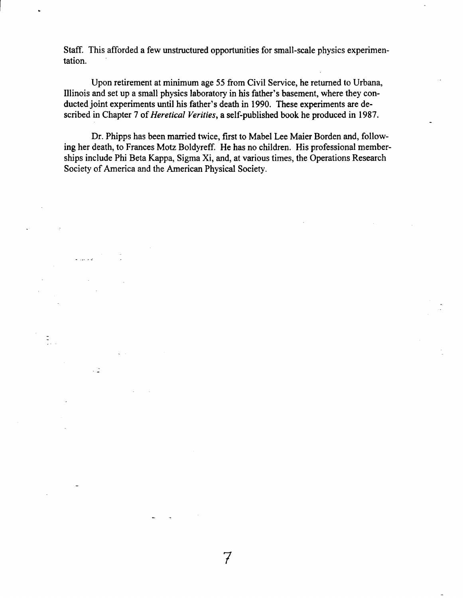Staff. This afforded a few unstructured opportunities for small-scale physics experimentation.

**I .**

. ...-.

-.

**7**

Upon retirement at minimum age 55 from Civil Service, he returned to Urbana, Illinois and set up a small physics laboratory in his father's basement, where they conducted joint experiments until his father's death in 1990. These experiments are described in Chapter 7 of *Heretical Verifies,* a self-published book he produced in 1987.

Dr. Phipps has been married twice, first to Mabel Lee Maier Borden and, following her death, to Frances Motz Boldyreff. He has no children. His professional memberships include Phi Beta Kappa, Sigma Xi, and, at various times, the Operations Research Society of America and the American Physical Society.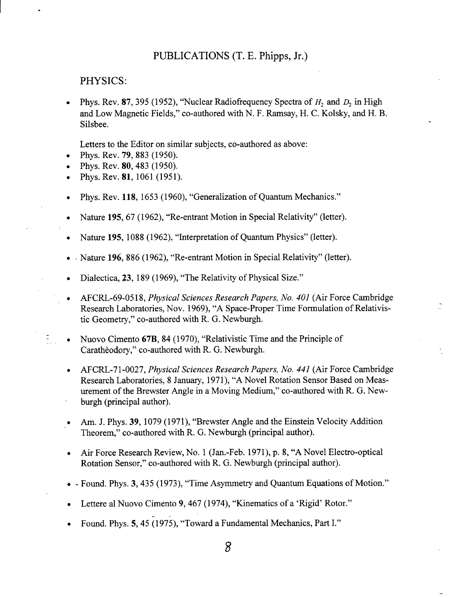## PHYSICS:

 $\mathbf{I}$ 

Phys. Rev. 87, 395 (1952), "Nuclear Radiofrequency Spectra of  $H_2$  and  $D_2$  in High and Low Magnetic Fields," co-authored with N. F. Rarnsay, H. C. Kolsky, and H. B. Silsbee.

Letters to the Editor on similar subjects, co-authored as above:

- Phys. Rev. **79**, 883 (1950).
- . Phys. Rev. 80,483 (1950).
- . Phys. Rev. 81, 1061 (1951).
- . Phys. Rev. 118, 1653 (1960), "Generalization of Quantum Mechanics."
- . Nature 195,67 (1962), "Re-entrant Motion in Special Relativity" (letter).
- . Nature 195, 1088 (1962), "hterpretation of Quantum Physics" (letter).
- . . Nature 196, 886 **(1962),** "Re-entrant Motion in Special Relativity" (letter).
- Dialectica, 23, 189 (1969), "The Relativity of Physical Size."
- . AFCRL-69-05 18, *Physical Sciences Research Papers, No. 401* (Air Force Cambridge Research Laboratories, Nov. 1969), "A Space-Proper Time Formulation of Relativis tic Geometry," co-authored with R. G. Newburgh.

..

- Nuovo Cimento 67B, 84 (1970), "Relativistic Time and the Principle of Caratheodory," co-authored with R. G. Newburgh.
- AFCRL-71-0027, *Physical Sciences Research Papers, No. 441* (Air Force Cambridge Research Laboratories, 8 January, 1971), "A Novel Rotation Sensor Based on Measurement of the Brewster Angle in a Moving Medium," co-authored with R. G. Newburgh (principal author).
- Am. J. Phys. 39, 1079 (1971), "Brewster Angle and the Einstein Velocity Addition Theorem," co-authored with R. G. Newburgh (principal author).
- . Air Force Research Review, No. 1 (Jan. -Feb. 1971), p. 8, "A Novel Electro-optical Rotation Sensor," co-authored with R. G. Newburgh (principal author).
- **. - Found. Phys. 3, 435 (1973),** "Time Asymmetry and Quantum Equations of Motion."
- . Lettere al Nuovo Cimento 9,467 (1974), "Kinematics of a 'Rigid' Rotor."
- Found. Phys. 5, 45 (1975), "Toward a Fundamental Mechanics, Part I."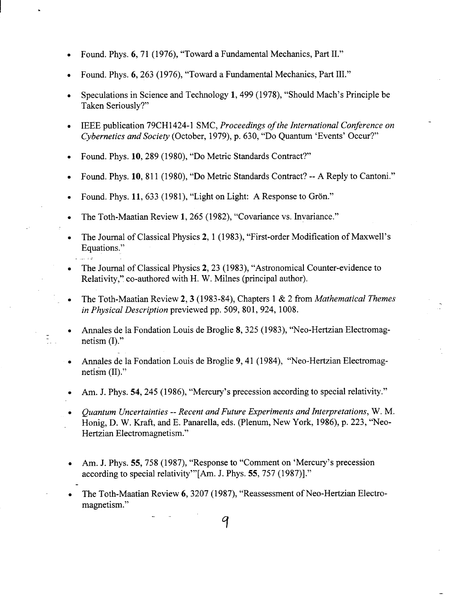. Found. Phys. 6,71 (1976), "Toward a Fundamental Mechanics, Part II."

**I .**

- . Found. Phys. 6,263 (1976), "Toward a Fundamental Mechanics, Part III."
- . Speculations in Science and Technology 1,499 **(1978),** "Should Mach's Principle be Taken Seriously?"
- . IEEE publication 79CH1 424-1 SMC, *Proceedings of the International Conference on - Cybernetics and Society* (October, 1979), p. 630, "Do Quantim 'Events' Occur?"
- . Found. Phys. 10,289 **(1980),** "Do Metric Standards Contract?"
- . Found. Phys. 10, **811 (1980),** "Do Metric Standards Contract? --A Reply to Cantoni."
- Found. Phys. 11, 633 (1981), "Light on Light: A Response to Grön."
- The Toth-Maatian Review 1, 265 (1982), "Covariance vs. Invariance."
- . The Journal of Classical Physics 2, 1 (1983), "First-order Modification of Maxwell's Equations." . ...-.
- The Journal of Classical Physics 2, 23 (1983), "Astronomical Counter-evidence to Relativity," co-authored with H. W. Milnes (principal author).
- The Toth-Maatian Review 2,3 (1983-84), Chapters 1 & 2 from *Mathematical Themes in Physical Description* previewed pp. 509, 801, 924, 1008.

..

- . males de la Fondation Louis de Broglie 8,325 (1983), "Neo-Hertzian Electromag netism  $(I)$ ."
- Annales de la Fondation Louis de Broglie 9, 41 (1984), "Neo-Hertzian Electromagnetism  $(II)$ ."
- . Am. J. Phys. 54,245 (1986), "Mercury's precession according to special relativity."
- *. Quantum Uncertainties -- Recent and Future Experiments and Interpretations,* W. M. Honig, D. W. fiaft, and E. Panarella, eds. (Plenum, New York, 1986), p. 223, "Neo-Hertzian Electromagnetism."
- Am. J. Phys. 55, 758 (1987), "Response to "Comment on 'Mercury's precession according to special relativity" [Am. J. Phys. 55, 757 (1987)]."
- . The Toth-Maatian Review 6,3207 (1987), "Reassessment of Neo-Hertzian Electromagnetism."

q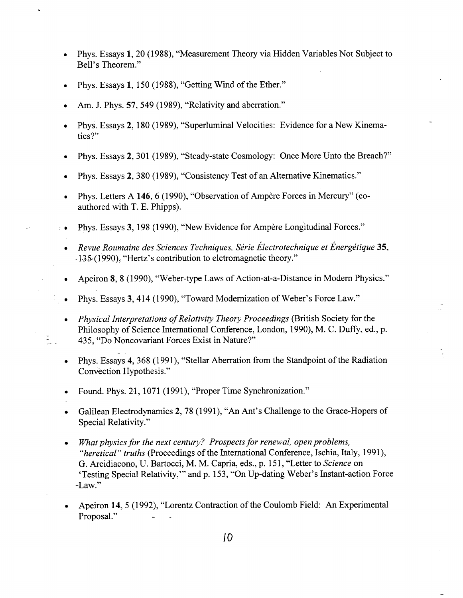- Phys. Essays 1,20 *(1988),* "Measurement Theory via Hidden Variables Not Subject to Bell's Theorem."
- Phys. Essays 1, 150 (1988), "Getting Wind of the Ether."

1<br>1940 - Paul II<br>1940 - Paul II<br>1940 - Paul II<br>1940 - Paul II

. .

- Am. J. Phys. 57, 549 (1989), "Relativity and aberration."
- Phys. Essays 2, 180 (1989), "Superluminal Velocities: Evidence for a New Kinema tics?"
- Phys. Essays 2,301 (1989), "Steady-state Cosmology: Once More Unto the Breach?"
- $\bullet$ Phys. Essays 2, 380 (1989), "Consistency Test of an Alternative Kinematics."
- Phys. Letters A 146, 6 (1990), "Observation of Ampère Forces in Mercury" (coauthored with T. E. Phipps).
- $\cdot$   $\bullet$ Phys. Essays 3, 198 (1990), "New Evidence for Ampere Longitudinal Forces."
	- *Revue Roumaine des Sciences Techniques, Sirie Electrotechnique et Energktique 35, -1.3S(* **1990);** "Hertz's contribution to electromagnetic theory."
	- Apeiron 8, 8 (1990), "Weber-type Laws of Action-at-a-Distance in Modern Physics."
- Phys. Essays 3,414 (1990), "Toward Modernization of Weber's Force Law."
- *Physical Interpretations of Relativity Theory Proceedings* (British Society for the  $\bullet$ Philosophy of Science International Conference, London, 1990), M. C. Duffy, ed., p. 435, "Do Noncovariant Forces Exist in Nature?"
- Phys. Essays 4, 368 (1991), "Stellar Aberration from the Standpoint of the Radiation Convection Hypothesis."
- Found. Phys. 21, 1071 (1991), "Proper Time Synchronization."
- Galilean Electrodynamics 2,78 (1991), "An Ant's Challenge to the Grace-Hopers of Special Relativity."
- $\bullet$ Mat *physics for the next century? Prospects for renewal, open problems,* "*heretical" truths* (Proceedings of the International Conference, Ischia, Italy, 1991), G. Arcidiacono, U. Bartocci, M. M. Capria, eds., p. 151, "Letter to *Science* on 'Testing Special Relativity," and p. 153, "On Up-dating Weber's Instant-action Force -Law."
- **9** Apeiron 14,5 (1992), "Lorentz Contraction of the Coulomb Field: An Experimental Proposal."

—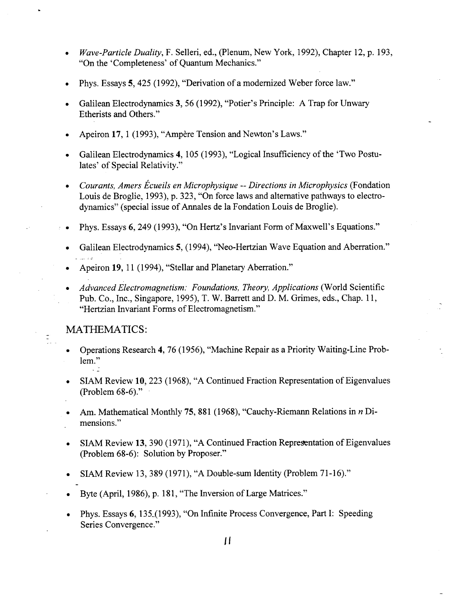- *Wave-Particle Duality*, F. Selleri, ed., (Plenum, New York, 1992), Chapter 12, p. 193, "On the 'Completeness' of Quantum Mechanics."
- $\bullet$ Phys. Essays 5,425 (1992), "Derivation of a modernized Weber force law."
- Galilean Electrodynamics 3, 56 (1992), "Potier's Principle: A Trap for Unwary Etherists and Others."
- Apeiron 17, 1 (1993), "Ampère Tension and Newton's Laws."
- Galilean Electrodynamics 4, 105 (1993), "Logical Insufficiency of the 'Two Postulates' of Special Relativity."
- *Courants, Amers Ecueils en Microphysique -- Directions in Microphysics* (Fondation Louis de Broglie, 1993), p. 323, "On force laws and alternative pathways to electrodynamics" (special issue of Annales de la Fondation Louis de Broglie).
- Phys. Essays 6, 249 (1993), "On Hertz's Invariant Form of Maxwell's Equations."
- Galilean Electrodynamics 5, (1994), "Neo-Hertzian Wave Equation and Aberration." ...-.
- $\bullet$ Apeiron 19, 11 (1994), "Stellar and Planetary Aberration."
- *Advanced Electromagnetism: Foundations, Theory, Applications* (World Scientific Pub. Co., Inc., Singapore, 1995), T. W. Barrett and D. M. Grimes, eds., Chap. 11, "Hertzian Invariant Forms of Electromagnetism."

## MATHEMATICS:

I .

✎✎ ☛

 $\widetilde{\mathbb{Z}}$ 

- Operations Research 4, 76 (1956), "Machine Repair as a Priority Waiting-Line Problem."
- . SIAM Review 10,223 (1968), "A Continued Fraction Representation of Eigenvalues (Problem 68-6)."
- Am. Mathematical Monthly 75, 881 (1968), "Cauchy-Riemann Relations in  $n$  Dimensions."
- SIAM Review 13, 390 (1971), "A Continued Fraction Representation of Eigenvalues (Problem 68-6): Solution by Proposer."
- SIAM Review 13, 389 (1971), "A Double-sum Identity (Problem 71-16)."
- . Byte (April, 1986), p. 181, "The hversion of Large Matrices."
- . Phys. Essays 6, 135\_(l 993), "On Infinite Process Convergence, Part I: Speeding Series Convergence."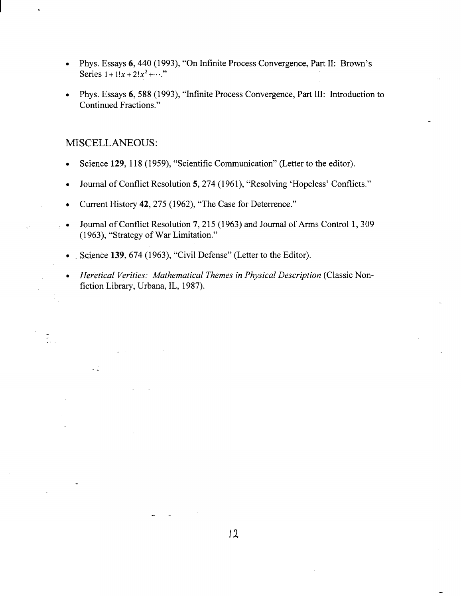- Phys. Essays 6, 440 (1993), "On Infinite Process Convergence, Part II: Brown's Series  $1 + 1!x + 2!x^2 + \cdots$ "
- Phys. Essays 6, 588 (1993), "Infinite Process Convergence, Part III: Introduction to Continued Fractions."

# MISCELLANEOUS:

 $\overline{a}$ 

**I .**

 $\frac{1}{2}$ 

 $\sim 2$ 

- Science 129, 118 (1959), "Scientific Communication" (Letter to the editor).
- Journal of Conflict Resolution 5, 274 (1961), "Resolving 'Hopeless' Conflicts."
- Current History 42,275 (1962), "The Case for Deterrence."
- ✎✎ Journal of Conflict Resolution 7, 215 (1963) and Journal of Arms Control 1, 309 (1963), "Strategy of War Limitation."
	- $\bullet$  . Science 139, 674 (1963), "Civil Defense" (Letter to the Editor)
	- *Heretical Verities: Mathematical Themes in Physical Description* (Classic Nonfiction Library, Urbana, IL, 1987).

-.